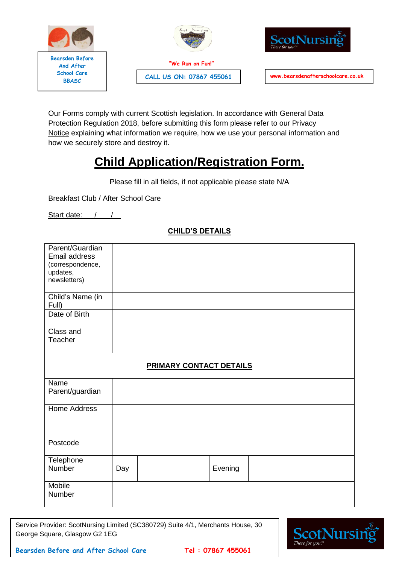





Our Forms comply with current Scottish legislation. In accordance with General Data Protection Regulation 2018, before submitting this form please refer to our **[Privacy](https://docs.wixstatic.com/ugd/f4771f_94b7ece4761b41b68e39f24a1a2e6387.pdf)** [Notice](https://docs.wixstatic.com/ugd/f4771f_94b7ece4761b41b68e39f24a1a2e6387.pdf) explaining what information we require, how we use your personal information and how we securely store and destroy it.

# **Child Application/Registration Form.**

Please fill in all fields, if not applicable please state N/A

Breakfast Club / After School Care

Start date: / /

| Parent/Guardian<br>Email address<br>(correspondence,<br>updates,<br>newsletters) |                         |
|----------------------------------------------------------------------------------|-------------------------|
| Child's Name (in<br>Full)                                                        |                         |
| Date of Birth                                                                    |                         |
| Class and<br>Teacher                                                             |                         |
|                                                                                  | PRIMARY CONTACT DETAILS |
| Name<br>Parent/guardian                                                          |                         |
| Home Address                                                                     |                         |

## **CHILD'S DETAILS**

| Name                |     |         |  |
|---------------------|-----|---------|--|
| Parent/guardian     |     |         |  |
| <b>Home Address</b> |     |         |  |
|                     |     |         |  |
|                     |     |         |  |
| Postcode            |     |         |  |
| Telephone           |     |         |  |
| Number              | Day | Evening |  |
|                     |     |         |  |
| Mobile              |     |         |  |
| Number              |     |         |  |

Service Provider: ScotNursing Limited (SC380729) Suite 4/1, Merchants House, 30 George Square, Glasgow G2 1EG

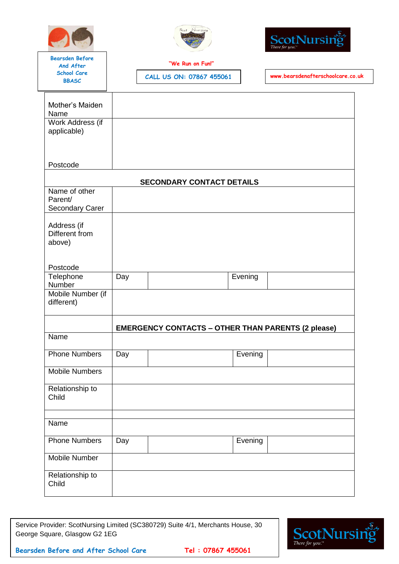





**"We Run on Fun!"** 

**BBASC CALL US ON: 07867 455061 www.bearsdenafterschoolcare.co.uk**

| Mother's Maiden<br>Name |     |                                                           |         |  |
|-------------------------|-----|-----------------------------------------------------------|---------|--|
| Work Address (if        |     |                                                           |         |  |
| applicable)             |     |                                                           |         |  |
|                         |     |                                                           |         |  |
|                         |     |                                                           |         |  |
|                         |     |                                                           |         |  |
| Postcode                |     |                                                           |         |  |
|                         |     |                                                           |         |  |
|                         |     | <b>SECONDARY CONTACT DETAILS</b>                          |         |  |
| Name of other           |     |                                                           |         |  |
| Parent/                 |     |                                                           |         |  |
| <b>Secondary Carer</b>  |     |                                                           |         |  |
|                         |     |                                                           |         |  |
| Address (if             |     |                                                           |         |  |
| Different from          |     |                                                           |         |  |
| above)                  |     |                                                           |         |  |
|                         |     |                                                           |         |  |
|                         |     |                                                           |         |  |
| Postcode                |     |                                                           |         |  |
| Telephone               | Day |                                                           | Evening |  |
| Number                  |     |                                                           |         |  |
| Mobile Number (if       |     |                                                           |         |  |
| different)              |     |                                                           |         |  |
|                         |     |                                                           |         |  |
|                         |     |                                                           |         |  |
|                         |     | <b>EMERGENCY CONTACTS - OTHER THAN PARENTS (2 please)</b> |         |  |
| Name                    |     |                                                           |         |  |
|                         |     |                                                           |         |  |
| <b>Phone Numbers</b>    | Day |                                                           | Evening |  |
|                         |     |                                                           |         |  |
| <b>Mobile Numbers</b>   |     |                                                           |         |  |
|                         |     |                                                           |         |  |
| Relationship to         |     |                                                           |         |  |
| Child                   |     |                                                           |         |  |
|                         |     |                                                           |         |  |
|                         |     |                                                           |         |  |
| Name                    |     |                                                           |         |  |
|                         |     |                                                           |         |  |
| <b>Phone Numbers</b>    | Day |                                                           | Evening |  |
|                         |     |                                                           |         |  |
| Mobile Number           |     |                                                           |         |  |
|                         |     |                                                           |         |  |
| Relationship to         |     |                                                           |         |  |
| Child                   |     |                                                           |         |  |
|                         |     |                                                           |         |  |
|                         |     |                                                           |         |  |

Service Provider: ScotNursing Limited (SC380729) Suite 4/1, Merchants House, 30 George Square, Glasgow G2 1EG

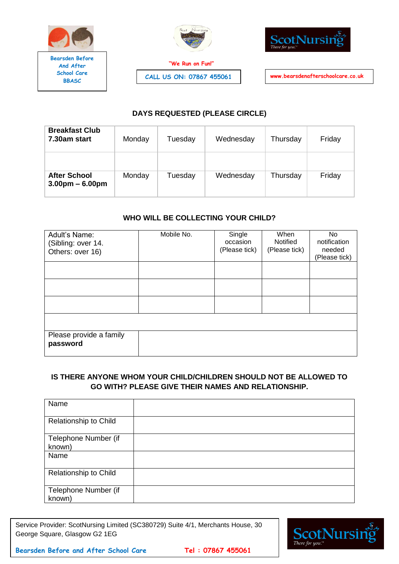

**"We Run on Fun!"** 



**BBASC CALL US ON: 07867 455061 www.bearsdenafterschoolcare.co.uk**

# **DAYS REQUESTED (PLEASE CIRCLE)**

| <b>Breakfast Club</b><br>7.30am start    | Monday | Tuesday | Wednesday | Thursday | Friday |
|------------------------------------------|--------|---------|-----------|----------|--------|
|                                          |        |         |           |          |        |
| <b>After School</b><br>$3.00pm - 6.00pm$ | Monday | Tuesday | Wednesday | Thursday | Friday |

## **WHO WILL BE COLLECTING YOUR CHILD?**

| Adult's Name:<br>(Sibling: over 14.<br>Others: over 16) | Mobile No. | Single<br>occasion<br>(Please tick) | When<br><b>Notified</b><br>(Please tick) | No<br>notification<br>needed<br>(Please tick) |
|---------------------------------------------------------|------------|-------------------------------------|------------------------------------------|-----------------------------------------------|
|                                                         |            |                                     |                                          |                                               |
|                                                         |            |                                     |                                          |                                               |
|                                                         |            |                                     |                                          |                                               |
|                                                         |            |                                     |                                          |                                               |
| Please provide a family<br>password                     |            |                                     |                                          |                                               |

## **IS THERE ANYONE WHOM YOUR CHILD/CHILDREN SHOULD NOT BE ALLOWED TO GO WITH? PLEASE GIVE THEIR NAMES AND RELATIONSHIP.**

| Name                           |  |
|--------------------------------|--|
| Relationship to Child          |  |
| Telephone Number (if<br>known) |  |
| Name                           |  |
| Relationship to Child          |  |
| Telephone Number (if<br>known) |  |

Service Provider: ScotNursing Limited (SC380729) Suite 4/1, Merchants House, 30 George Square, Glasgow G2 1EG

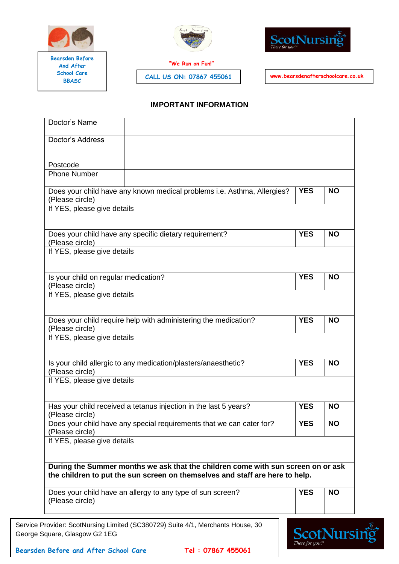



**"We Run on Fun!"** 

**BBASC CALL US ON: 07867 455061 www.bearsdenafterschoolcare.co.uk**



#### **IMPORTANT INFORMATION**

| Doctor's Name                                           |                                                                                                                                                                  |            |           |
|---------------------------------------------------------|------------------------------------------------------------------------------------------------------------------------------------------------------------------|------------|-----------|
| Doctor's Address                                        |                                                                                                                                                                  |            |           |
| Postcode                                                |                                                                                                                                                                  |            |           |
| <b>Phone Number</b>                                     |                                                                                                                                                                  |            |           |
| (Please circle)                                         | Does your child have any known medical problems i.e. Asthma, Allergies?                                                                                          | <b>YES</b> | <b>NO</b> |
| If YES, please give details                             |                                                                                                                                                                  |            |           |
| (Please circle)                                         | Does your child have any specific dietary requirement?                                                                                                           | <b>YES</b> | <b>NO</b> |
| If YES, please give details                             |                                                                                                                                                                  |            |           |
| Is your child on regular medication?<br>(Please circle) |                                                                                                                                                                  | <b>YES</b> | <b>NO</b> |
| If YES, please give details                             |                                                                                                                                                                  |            |           |
| (Please circle)                                         | Does your child require help with administering the medication?                                                                                                  | <b>YES</b> | <b>NO</b> |
| If YES, please give details                             |                                                                                                                                                                  |            |           |
| (Please circle)                                         | Is your child allergic to any medication/plasters/anaesthetic?                                                                                                   | <b>YES</b> | <b>NO</b> |
| If YES, please give details                             |                                                                                                                                                                  |            |           |
|                                                         | Has your child received a tetanus injection in the last 5 years?                                                                                                 | <b>YES</b> | <b>NO</b> |
| (Please circle)<br>(Please circle)                      | Does your child have any special requirements that we can cater for?                                                                                             | <b>YES</b> | <b>NO</b> |
| If YES, please give details                             |                                                                                                                                                                  |            |           |
|                                                         | During the Summer months we ask that the children come with sun screen on or ask<br>the children to put the sun screen on themselves and staff are here to help. |            |           |
|                                                         | Does your child have an allergy to any type of sun screen?                                                                                                       | <b>YES</b> | <b>NO</b> |

**Bearsden Before and After School Care Tel : 07867 455061**

George Square, Glasgow G2 1EG

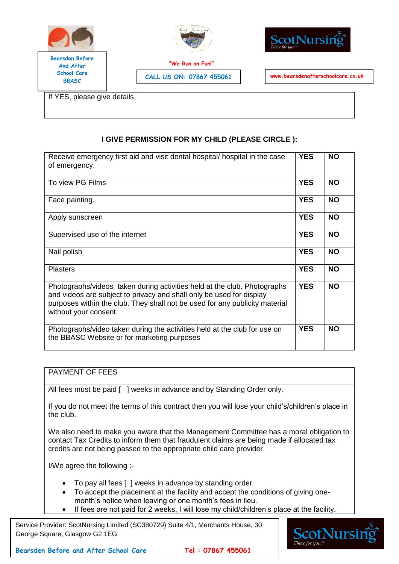





**"We Run on Fun!"** 

**BBASC CALL US ON: 07867 455061 www.bearsdenafterschoolcare.co.uk**

If YES, please give details

# **I GIVE PERMISSION FOR MY CHILD (PLEASE CIRCLE ):**

| Receive emergency first aid and visit dental hospital/ hospital in the case<br>of emergency.                                                                                                                                                             | <b>YES</b> | <b>NO</b> |
|----------------------------------------------------------------------------------------------------------------------------------------------------------------------------------------------------------------------------------------------------------|------------|-----------|
| To view PG Films                                                                                                                                                                                                                                         | <b>YES</b> | <b>NO</b> |
| Face painting.                                                                                                                                                                                                                                           | <b>YES</b> | <b>NO</b> |
| Apply sunscreen                                                                                                                                                                                                                                          | <b>YES</b> | <b>NO</b> |
| Supervised use of the internet                                                                                                                                                                                                                           | <b>YES</b> | <b>NO</b> |
| Nail polish                                                                                                                                                                                                                                              | <b>YES</b> | <b>NO</b> |
| <b>Plasters</b>                                                                                                                                                                                                                                          | <b>YES</b> | <b>NO</b> |
| Photographs/videos taken during activities held at the club. Photographs<br>and videos are subject to privacy and shall only be used for display<br>purposes within the club. They shall not be used for any publicity material<br>without your consent. | <b>YES</b> | <b>NO</b> |
| Photographs/video taken during the activities held at the club for use on<br>the BBASC Website or for marketing purposes                                                                                                                                 | <b>YES</b> | <b>NO</b> |

## PAYMENT OF FEES

All fees must be paid [ ] weeks in advance and by Standing Order only.

If you do not meet the terms of this contract then you will lose your child's/children's place in the club.

We also need to make you aware that the Management Committee has a moral obligation to contact Tax Credits to inform them that fraudulent claims are being made if allocated tax credits are not being passed to the appropriate child care provider.

I/We agree the following :-

- To pay all fees [ ] weeks in advance by standing order
- To accept the placement at the facility and accept the conditions of giving onemonth's notice when leaving or one month's fees in lieu.
- If fees are not paid for 2 weeks, I will lose my child/children's place at the facility.

Service Provider: ScotNursing Limited (SC380729) Suite 4/1, Merchants House, 30 George Square, Glasgow G2 1EG

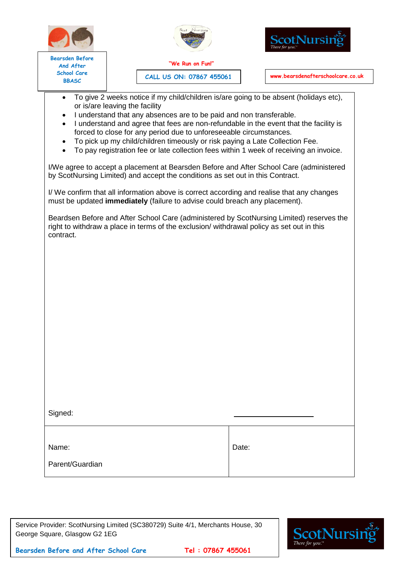



ScotNursi

**Bearsden Before And After School Care**

**BBASC CALL US ON: 07867 455061 www.bearsdenafterschoolcare.co.uk**

- To give 2 weeks notice if my child/children is/are going to be absent (holidays etc), or is/are leaving the facility
- I understand that any absences are to be paid and non transferable.
- I understand and agree that fees are non-refundable in the event that the facility is forced to close for any period due to unforeseeable circumstances.
- To pick up my child/children timeously or risk paying a Late Collection Fee.
- To pay registration fee or late collection fees within 1 week of receiving an invoice.

I/We agree to accept a placement at Bearsden Before and After School Care (administered by ScotNursing Limited) and accept the conditions as set out in this Contract.

I/ We confirm that all information above is correct according and realise that any changes must be updated **immediately** (failure to advise could breach any placement).

Beardsen Before and After School Care (administered by ScotNursing Limited) reserves the right to withdraw a place in terms of the exclusion/ withdrawal policy as set out in this contract.

Signed:

Name:

Date:

Parent/Guardian

Service Provider: ScotNursing Limited (SC380729) Suite 4/1, Merchants House, 30 George Square, Glasgow G2 1EG

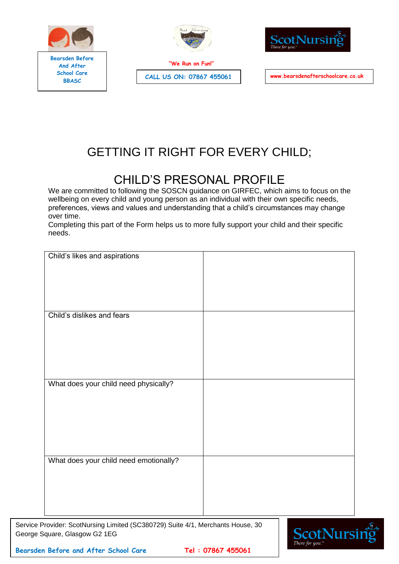





**BBASC CALL US ON: 07867 455061 www.bearsdenafterschoolcare.co.uk**

# GETTING IT RIGHT FOR EVERY CHILD;

# CHILD'S PRESONAL PROFILE

We are committed to following the SOSCN guidance on GIRFEC, which aims to focus on the wellbeing on every child and young person as an individual with their own specific needs, preferences, views and values and understanding that a child's circumstances may change over time.

Completing this part of the Form helps us to more fully support your child and their specific needs.

| Child's likes and aspirations          |  |
|----------------------------------------|--|
|                                        |  |
| Child's dislikes and fears             |  |
|                                        |  |
| What does your child need physically?  |  |
|                                        |  |
|                                        |  |
| What does your child need emotionally? |  |
|                                        |  |
|                                        |  |

Service Provider: ScotNursing Limited (SC380729) Suite 4/1, Merchants House, 30 George Square, Glasgow G2 1EG

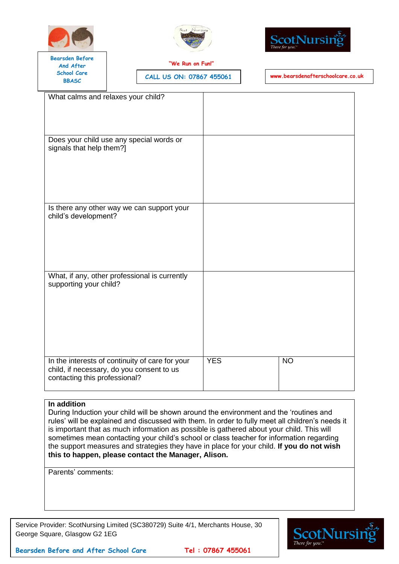





**"We Run on Fun!"** 

**BBASC CALL US ON: 07867 455061 www.bearsdenafterschoolcare.co.uk**

| What calms and relaxes your child?                                                                                            |            |                |
|-------------------------------------------------------------------------------------------------------------------------------|------------|----------------|
| Does your child use any special words or<br>signals that help them?]                                                          |            |                |
| Is there any other way we can support your<br>child's development?                                                            |            |                |
| What, if any, other professional is currently<br>supporting your child?                                                       |            |                |
| In the interests of continuity of care for your<br>child, if necessary, do you consent to us<br>contacting this professional? | <b>YES</b> | N <sub>O</sub> |

#### **In addition**

During Induction your child will be shown around the environment and the 'routines and rules' will be explained and discussed with them. In order to fully meet all children's needs it is important that as much information as possible is gathered about your child. This will sometimes mean contacting your child's school or class teacher for information regarding the support measures and strategies they have in place for your child. **If you do not wish this to happen, please contact the Manager, Alison.**

Parents' comments:

Service Provider: ScotNursing Limited (SC380729) Suite 4/1, Merchants House, 30 George Square, Glasgow G2 1EG